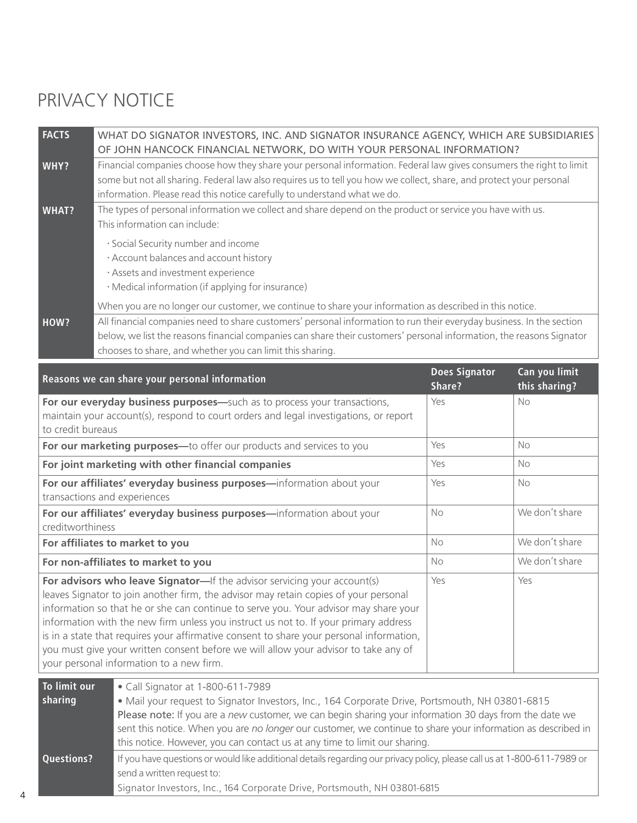## PRIVACY NOTICE

| <b>FACTS</b><br>WHAT DO SIGNATOR INVESTORS, INC. AND SIGNATOR INSURANCE AGENCY, WHICH ARE SUBSIDIARIES                                                                                                               |                                |                                |
|----------------------------------------------------------------------------------------------------------------------------------------------------------------------------------------------------------------------|--------------------------------|--------------------------------|
| OF JOHN HANCOCK FINANCIAL NETWORK, DO WITH YOUR PERSONAL INFORMATION?                                                                                                                                                |                                |                                |
| Financial companies choose how they share your personal information. Federal law gives consumers the right to limit<br>WHY?                                                                                          |                                |                                |
| some but not all sharing. Federal law also requires us to tell you how we collect, share, and protect your personal                                                                                                  |                                |                                |
| information. Please read this notice carefully to understand what we do.                                                                                                                                             |                                |                                |
| The types of personal information we collect and share depend on the product or service you have with us.<br><b>WHAT?</b><br>This information can include:                                                           |                                |                                |
|                                                                                                                                                                                                                      |                                |                                |
| · Social Security number and income                                                                                                                                                                                  |                                |                                |
| · Account balances and account history                                                                                                                                                                               |                                |                                |
| · Assets and investment experience                                                                                                                                                                                   |                                |                                |
| · Medical information (if applying for insurance)                                                                                                                                                                    |                                |                                |
| When you are no longer our customer, we continue to share your information as described in this notice.                                                                                                              |                                |                                |
| All financial companies need to share customers' personal information to run their everyday business. In the section<br>HOW?                                                                                         |                                |                                |
| below, we list the reasons financial companies can share their customers' personal information, the reasons Signator                                                                                                 |                                |                                |
| chooses to share, and whether you can limit this sharing.                                                                                                                                                            |                                |                                |
| Reasons we can share your personal information                                                                                                                                                                       | <b>Does Signator</b><br>Share? | Can you limit<br>this sharing? |
| For our everyday business purposes-such as to process your transactions,                                                                                                                                             | Yes                            | No                             |
| maintain your account(s), respond to court orders and legal investigations, or report                                                                                                                                |                                |                                |
| to credit bureaus                                                                                                                                                                                                    |                                |                                |
| For our marketing purposes-to offer our products and services to you                                                                                                                                                 | Yes                            | <b>No</b>                      |
| For joint marketing with other financial companies                                                                                                                                                                   | Yes                            | No                             |
| For our affiliates' everyday business purposes-information about your                                                                                                                                                | Yes                            | <b>No</b>                      |
| transactions and experiences                                                                                                                                                                                         |                                |                                |
| For our affiliates' everyday business purposes-information about your                                                                                                                                                | No                             | We don't share                 |
| creditworthiness                                                                                                                                                                                                     |                                |                                |
| For affiliates to market to you                                                                                                                                                                                      | No                             | We don't share                 |
| For non-affiliates to market to you                                                                                                                                                                                  | No                             | We don't share                 |
| For advisors who leave Signator-If the advisor servicing your account(s)                                                                                                                                             | Yes                            | Yes                            |
| leaves Signator to join another firm, the advisor may retain copies of your personal                                                                                                                                 |                                |                                |
| information so that he or she can continue to serve you. Your advisor may share your                                                                                                                                 |                                |                                |
| information with the new firm unless you instruct us not to. If your primary address<br>is in a state that requires your affirmative consent to share your personal information,                                     |                                |                                |
| you must give your written consent before we will allow your advisor to take any of                                                                                                                                  |                                |                                |
| your personal information to a new firm.                                                                                                                                                                             |                                |                                |
|                                                                                                                                                                                                                      |                                |                                |
| To limit our<br>• Call Signator at 1-800-611-7989                                                                                                                                                                    |                                |                                |
| sharing<br>. Mail your request to Signator Investors, Inc., 164 Corporate Drive, Portsmouth, NH 03801-6815<br>Please note: If you are a new customer, we can begin sharing your information 30 days from the date we |                                |                                |
| sent this notice. When you are no longer our customer, we continue to share your information as described in                                                                                                         |                                |                                |
| this notice. However, you can contact us at any time to limit our sharing.                                                                                                                                           |                                |                                |
| If you have questions or would like additional details regarding our privacy policy, please call us at 1-800-611-7989 or<br><b>Questions?</b>                                                                        |                                |                                |
| send a written request to:                                                                                                                                                                                           |                                |                                |
| Signator Investors, Inc., 164 Corporate Drive, Portsmouth, NH 03801-6815                                                                                                                                             |                                |                                |
|                                                                                                                                                                                                                      |                                |                                |